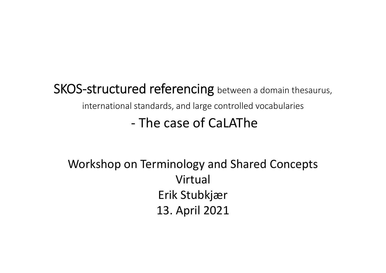#### SKOS-structured referencing between a domain thesaurus, international standards, and large controlled vocabularies ‐ The case of CaLAThe

#### Workshop on Terminology and Shared Concepts VirtualErik Stubkjær 13. April 2021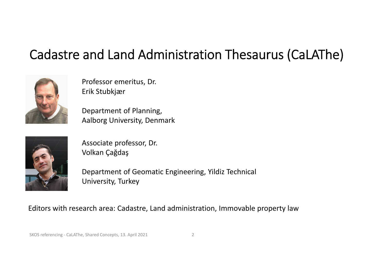## Cadastre and Land Administration Thesaurus (CaLAThe)



Professor emeritus, Dr. Erik Stubkjær

Department of Planning, Aalborg University, Denmark



Associate professor, Dr. Volkan Çağdaş

Department of Geomatic Engineering, Yildiz Technical University, Turkey

#### Editors with research area: Cadastre, Land administration, Immovable property law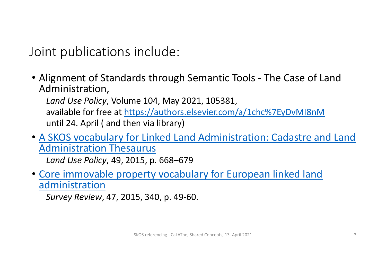Joint publications include:

• Alignment of Standards through Semantic Tools ‐ The Case of Land Administration,

*Land Use Policy*, Volume 104, May 2021, 105381, available for free at https://authors.elsevier.com/a/1chc%7EyDvMI8nM until 24. April ( and then via library)

• A SKOS vocabulary for Linked Land Administration: Cadastre and Land Administration Thesaurus

*Land Use Policy*, 49, 2015, p. 668–679

• Core immovable property vocabulary for European linked land administration

*Survey Review*, 47, 2015, 340, p. 49‐60.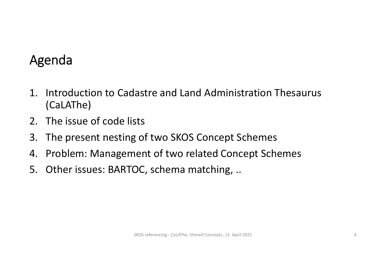## Agenda

- 1. Introduction to Cadastre and Land Administration Thesaurus (CaLAThe)
- 2. The issue of code lists
- 3. The present nesting of two SKOS Concept Schemes
- 4. Problem: Management of two related Concept Schemes
- 5. Other issues: BARTOC, schema matching, ..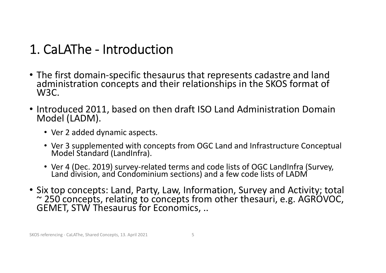## 1. CaLAThe ‐ Introduction

- TheThe first domain-specific thesaurus that represents cadastre and land<br>administration concepts and their relationships in the SKOS format of W3C.
- Introduced 2011, based on then draft ISO Land Administration Domain Model (LADM).
	- Ver 2 added dynamic aspects.
	- Ver 3 supplemented with concepts from OGC Land and Infrastructure Conceptual Model Standard (LandInfra). Standard (LandInfra).
	- Ver 4 (Dec. 2019) survey-related terms and code lists of OGC LandInfra (Survey,<br>Land division, and Condominium sections) and a few code lists of LADM
- Six top concepts: Land, Party, Law, Information, Survey and Activity; total ~ 250 concepts, relating to concepts from other thesauri, e.g. AGROVOC, GEMET, STW Thesaurus for Economics, ..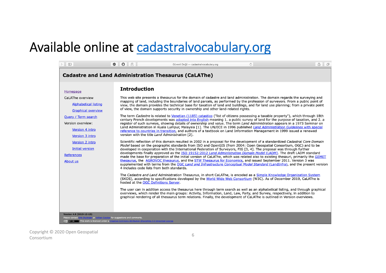#### Available online at cadastralvocabulary.org

| $\Box$                                                                                                                                                                                                                                                                               | $\bullet$ $\bullet$ $\circ$                                                                                | Güvenli Değil — cadastralvocabulary.org                                                                                                                                                                                                                                                                                                                                                                                                                                                                                                                                                                                                                                                                                                                                                                                                                                                                                                                                                                                                                                                                                                                                                                                                                                                                                                                                                                                                                                                                                                                                                                                                                                                                                                                                                                                                                                                                                                                                                                                                                                                                                                                                                                                                                                                                                                                                                                                                                                                                                                                                                                                                                                                                                                                      | $\circ$ |  | û<br>F |  |  |  |
|--------------------------------------------------------------------------------------------------------------------------------------------------------------------------------------------------------------------------------------------------------------------------------------|------------------------------------------------------------------------------------------------------------|--------------------------------------------------------------------------------------------------------------------------------------------------------------------------------------------------------------------------------------------------------------------------------------------------------------------------------------------------------------------------------------------------------------------------------------------------------------------------------------------------------------------------------------------------------------------------------------------------------------------------------------------------------------------------------------------------------------------------------------------------------------------------------------------------------------------------------------------------------------------------------------------------------------------------------------------------------------------------------------------------------------------------------------------------------------------------------------------------------------------------------------------------------------------------------------------------------------------------------------------------------------------------------------------------------------------------------------------------------------------------------------------------------------------------------------------------------------------------------------------------------------------------------------------------------------------------------------------------------------------------------------------------------------------------------------------------------------------------------------------------------------------------------------------------------------------------------------------------------------------------------------------------------------------------------------------------------------------------------------------------------------------------------------------------------------------------------------------------------------------------------------------------------------------------------------------------------------------------------------------------------------------------------------------------------------------------------------------------------------------------------------------------------------------------------------------------------------------------------------------------------------------------------------------------------------------------------------------------------------------------------------------------------------------------------------------------------------------------------------------------------------|---------|--|--------|--|--|--|
| <b>Cadastre and Land Administration Thesaurus (CaLAThe)</b>                                                                                                                                                                                                                          |                                                                                                            |                                                                                                                                                                                                                                                                                                                                                                                                                                                                                                                                                                                                                                                                                                                                                                                                                                                                                                                                                                                                                                                                                                                                                                                                                                                                                                                                                                                                                                                                                                                                                                                                                                                                                                                                                                                                                                                                                                                                                                                                                                                                                                                                                                                                                                                                                                                                                                                                                                                                                                                                                                                                                                                                                                                                                              |         |  |        |  |  |  |
| Homepage<br>CaLAThe overview<br><b>Alphabetical listing</b><br><b>Graphical overview</b><br>Query / Term search<br>Version overview:<br>Version 4 intro<br>Version 3 intro<br>Version 2 intro<br><b>Initial version</b><br><b>References</b><br>About us<br>Version 4.0 (2019-12-13) | <b>Introduction</b><br>4 includes code lists from both standards.<br>hosted at the OGC Definitions Server. | This web site presents a thesaurus for the domain of cadastre and land administration. The domain regards the surveying and<br>mapping of land, including the boundaries of land parcels, as performed by the profession of surveyors. From a public point of<br>view, the domain provides the technical base for taxation of land and buildings, and for land use planning; from a private point<br>of view, the domain supports security in ownership and other land-related rights.<br>The term Cadastre is related to Venetian (1185) catastico ("list of citizens possessing a taxable property"), which through 18th<br>century French developments was adopted into English meaning 1. a public survey of land for the purpose of taxation, and 2. a<br>register of such surveys, showing details of ownership and value. The term Land Administration appears in a 1973 Seminar on<br>Land Administration in Kuala Lumpur, Malaysia [1]. The UN/ECE in 1996 published Land Administration Guidelines with special<br>reference to countries in transition, and authors of a textbook on Land Information Management in 1999 issued a renewed<br>version with the title Land Administration [2].<br>Scientific reflection of this domain resulted in 2002 in a proposal for the development of a standardized Cadastral Core Domain<br>Model based on the geographic standards from ISO and OpenGIS (from 2004: Open Geospatial Consortium, OGC) and to be<br>developed in cooperation with the International Federation of Surveyors, FIG [3, 4]. The proposal was through further<br>developments finally approved as the ISO 19152:2012 Land Administration Domain Model (LADM). The draft LADM standard<br>made the base for preparation of the initial version of CaLAThe, which was related also to existing thesauri, primarily the GEMET<br>thesaurus, the AGROVOC thesaurus, and the STW Thesaurus for Economics, and issued September 2011. Version 3 was<br>supplemented with terms from the OGC Land and Infrastructure Conceptual Model Standard (LandInfra), and the present version<br>The Cadastre and Land Administration Thesaurus, in short CaLAThe, is encoded as a Simple Knowledge Organization System<br>(SKOS), according to specifications developed by the World Wide Web Consortium (W3C). As of December 2019, CaLAThe is<br>The user can in addition access the thesaurus here through term search as well as an alphabetical listing, and through graphical<br>overviews, which render the main groups: Activity, Information, Land, Law, Party, and Survey, respectively, in addition to<br>graphical rendering of all thesaurus term relations. Finally, the development of CaLAThe is outlined in Version overviews. |         |  |        |  |  |  |
| Please contact Erik Stubkjær or Volkan Cagdas for suggestions and comments.<br>[ce] EY-58 This work is licensed under a Creative Commons Attribution-ShareAlike 3.0 Unported License                                                                                                 |                                                                                                            |                                                                                                                                                                                                                                                                                                                                                                                                                                                                                                                                                                                                                                                                                                                                                                                                                                                                                                                                                                                                                                                                                                                                                                                                                                                                                                                                                                                                                                                                                                                                                                                                                                                                                                                                                                                                                                                                                                                                                                                                                                                                                                                                                                                                                                                                                                                                                                                                                                                                                                                                                                                                                                                                                                                                                              |         |  |        |  |  |  |

Copyright © 2020 Open Geospatial Consortium $\frac{6}{2}$  2020 Open Scopulum 6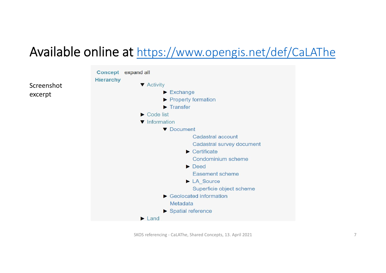#### Available online at https://www.opengis.net/def/CaLAThe



SKOS referencing ‐ CaLAThe, Shared Concepts, 13. April 2021 7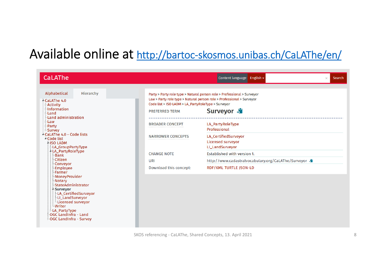## Available online at http://bartoc‐skosmos.unibas.ch/CaLAThe/en/

| <b>CaLAThe</b>                                                                                                                                                                                                                                  |                                                                                                                                                                                                                                                      | Content language English -<br>Search<br>$\times$                                          |  |  |
|-------------------------------------------------------------------------------------------------------------------------------------------------------------------------------------------------------------------------------------------------|------------------------------------------------------------------------------------------------------------------------------------------------------------------------------------------------------------------------------------------------------|-------------------------------------------------------------------------------------------|--|--|
| Hierarchy<br>Alphabetical<br>4-CaLAThe 4.0<br><b>Activity</b><br>-Information<br>-Land                                                                                                                                                          | Party > Party role type > Natural person role > Professional > Surveyor<br>Law > Party role type > Natural person role > Professional > Surveyor<br>Code list > ISO LADM > LA_PartyRoleType > Surveyor<br>Surveyor <b>S</b><br><b>PREFERRED TERM</b> |                                                                                           |  |  |
| Land administration<br>-Law<br>Party<br>Survey                                                                                                                                                                                                  | <b>BROADER CONCEPT</b>                                                                                                                                                                                                                               | LA_PartyRoleType<br>Professional                                                          |  |  |
| <sup>4</sup> CaLAThe 4.0 - Code lists<br><sup>4</sup> Code list<br><b>4-ISO LADM</b><br>LA_GroupPartyType                                                                                                                                       | <b>NARROWER CONCEPTS</b>                                                                                                                                                                                                                             | LA_CertifiedSurveyor<br>Licensed surveyor<br>LI_LandSurveyor                              |  |  |
| <b>LA_PartyRoleType</b><br>-Bank                                                                                                                                                                                                                | <b>CHANGE NOTE</b><br>URI<br>Download this concept:                                                                                                                                                                                                  | <b>Established with version 1.</b><br>http://www.cadastralvocabulary.org/CaLAThe/Surveyor |  |  |
| -Citizen<br>-Conveyor                                                                                                                                                                                                                           |                                                                                                                                                                                                                                                      |                                                                                           |  |  |
| -Employee<br>-Farmer                                                                                                                                                                                                                            |                                                                                                                                                                                                                                                      | <b>RDF/XML TURTLE JSON-LD</b>                                                             |  |  |
| <b>MoneyProvider</b><br><b>Notary</b><br>-StateAdministrator<br><b>A-Surveyor</b><br>LA CertifiedSurveyor<br>-LI_LandSurveyor<br>Licensed surveyor<br><b>Writer</b><br>-LA_PartyType<br>-OGC LandInfra - Land<br><b>MOGC LandInfra - Survey</b> |                                                                                                                                                                                                                                                      |                                                                                           |  |  |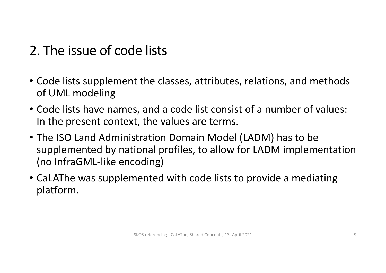## 2. The issue of code lists

- Code lists supplement the classes, attributes, relations, and methods of UML modeling
- Code lists have names, and <sup>a</sup> code list consist of <sup>a</sup> number of values: In the present context, the values are terms.
- The ISO Land Administration Domain Model (LADM) has to be supplemented by national profiles, to allow for LADM implementation (no InfraGML‐like encoding)
- CaLAThe was supplemented with code lists to provide <sup>a</sup> mediating platform.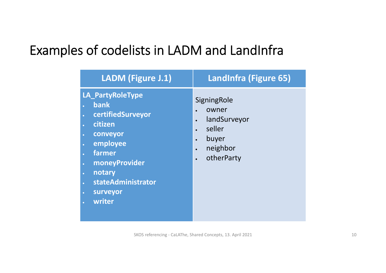### Examples of codelists in LADM and LandInfra

| SigningRole<br>owner<br>landSurveyor<br>seller<br>buyer<br>neighbor<br>otherParty |
|-----------------------------------------------------------------------------------|
|                                                                                   |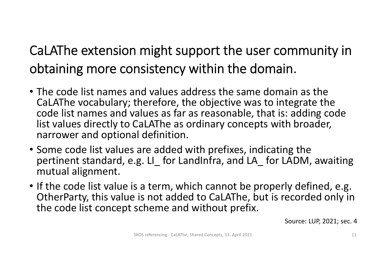# CaLAThe extension might support the user community in obtaining more consistency within the domain.

- The code list names and values address the same domain as the CaLAThe vocabulary; therefore, the objective was to integrate the code list names and values as far as reasonable, that is: adding code list values directly to CaLAThe as ordinary concepts with broader, narrower and optional definition.
- Some code list values are added with prefixes, indicating the pertinent standard, e.g. LI\_ for LandInfra, and LA\_ for LADM, awaiting mutual alignment.
- If the code list value is <sup>a</sup> term, which cannot be properly defined, e.g. OtherParty, this value is not added to CaLAThe, but is recorded only in the code list concept scheme and without prefix.

Source: LUP, 2021; sec. 4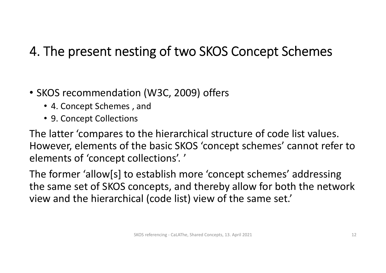## 4. The present nesting of two SKOS Concept Schemes

- SKOS recommendation (W3C, 2009) offers
	- 4. Concept Schemes , and
	- 9. Concept Collections

The latter 'compares to the hierarchical structure of code list values. However, elements of the basic SKOS 'concept schemes' cannot refer to elements of 'concept collections'. '

The former 'allow[s] to establish more 'concept schemes' addressing the same set of SKOS concepts, and thereby allow for both the network view and the hierarchical (code list) view of the same set.'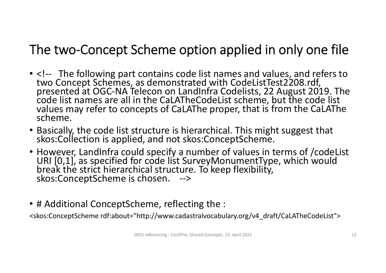## The two‐Concept Scheme option applied in only one file

- <!‐‐ The following part contains code list names and values, and refers to two Concept Schemes, as demonstrated with CodeListTest2208.rdf,<br>presented at OGC-NA Telecon on LandInfra Codelists, 22 August 2019. The<br>code list names are all in the CaLATheCodeList scheme. but the code list list names are all in the CaLATheCodeList scheme, but the code list values may refer to concepts of CaLAThe proper, that is from the CaLAThe<br>scheme.
- Basically, the code list structure is hierarchical. This might suggest that<br>skos:Collection is applied. and not skos:ConceptScheme. skos:Collection is applied, and not skos:ConceptScheme.
- However, LandInfra could specify <sup>a</sup> number of values in terms of /codeList URI [0,1], as specified for code list SurveyMonumentType, which would break the strict hierarchical structure. To keep flexibility, skos:ConceptScheme is chosen. ‐‐<sup>&</sup>gt;
- # Additional ConceptScheme, reflecting the :

<skos:ConceptScheme rdf:about="http://www.cadastralvocabulary.org/v4\_draft/CaLATheCodeList">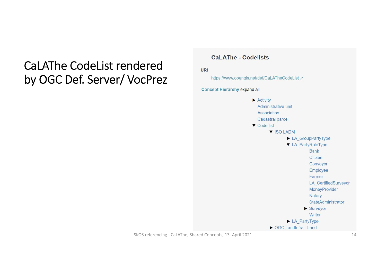#### CaLAThe CodeList rendered by OGC Def. Server/ VocPrez

#### **CaLAThe - Codelists**

**URI** 

https://www.opengis.net/def/CaLATheCodeList 7

**Concept Hierarchy expand all** 



SKOS referencing - CaLAThe, Shared Concepts, 13. April 2021 14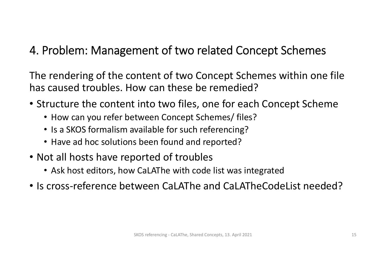#### 4. Problem: Management of two related Concept Schemes

The rendering of the content of two Concept Schemes within one file has caused troubles. How can these be remedied?

- Structure the content into two files, one for each Concept Scheme
	- How can you refer between Concept Schemes/ files?
	- Is a SKOS formalism available for such referencing?
	- Have ad hoc solutions been found and reported?
- Not all hosts have reported of troubles
	- Ask host editors, how CaLAThe with code list was integrated
- Is cross‐reference between CaLAThe and CaLATheCodeList needed?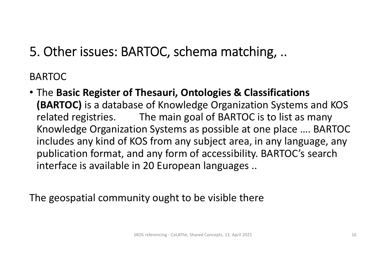5. Other issues: BARTOC, schema matching, ..

BARTOC

• The **Basic Register of Thesauri, Ontologies & Classifications (BARTOC)** is <sup>a</sup> database of Knowledge Organization Systems and KOS related registries. The main goal of BARTOC is to list as many Knowledge Organization Systems as possible at one place …. BARTOC includes any kind of KOS from any subject area, in any language, any publication format, and any form of accessibility. BARTOC's search interface is available in 20 European languages ..

The geospatial community ought to be visible there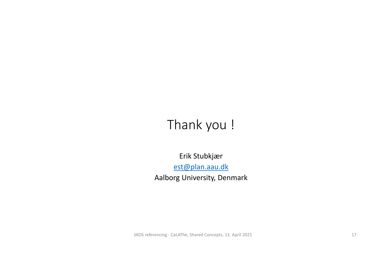## Thank you !

Erik Stubkjær est@plan.aau.dk Aalborg University, Denmark

SKOS referencing – CaLAThe, Shared Concepts, 13. April 2021 17 17